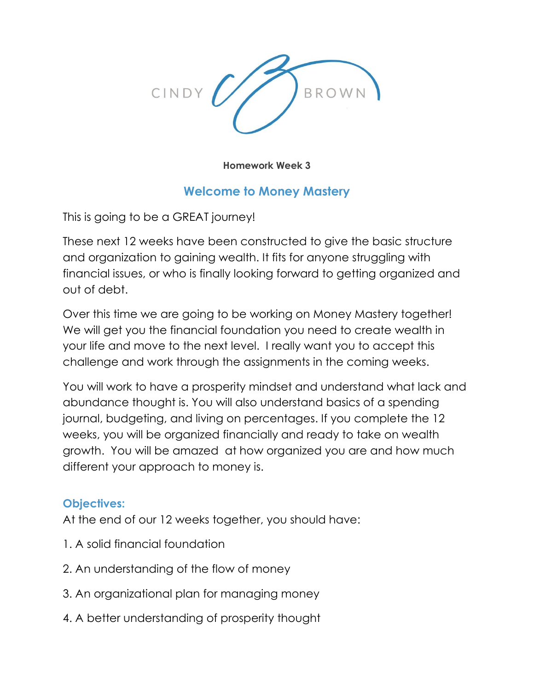

**Homework Week 3**

# **Welcome to Money Mastery**

This is going to be a GREAT journey!

These next 12 weeks have been constructed to give the basic structure and organization to gaining wealth. It fits for anyone struggling with financial issues, or who is finally looking forward to getting organized and out of debt.

Over this time we are going to be working on Money Mastery together! We will get you the financial foundation you need to create wealth in your life and move to the next level. I really want you to accept this challenge and work through the assignments in the coming weeks.

You will work to have a prosperity mindset and understand what lack and abundance thought is. You will also understand basics of a spending journal, budgeting, and living on percentages. If you complete the 12 weeks, you will be organized financially and ready to take on wealth growth. You will be amazed at how organized you are and how much different your approach to money is.

# **Objectives:**

At the end of our 12 weeks together, you should have:

- 1. A solid financial foundation
- 2. An understanding of the flow of money
- 3. An organizational plan for managing money
- 4. A better understanding of prosperity thought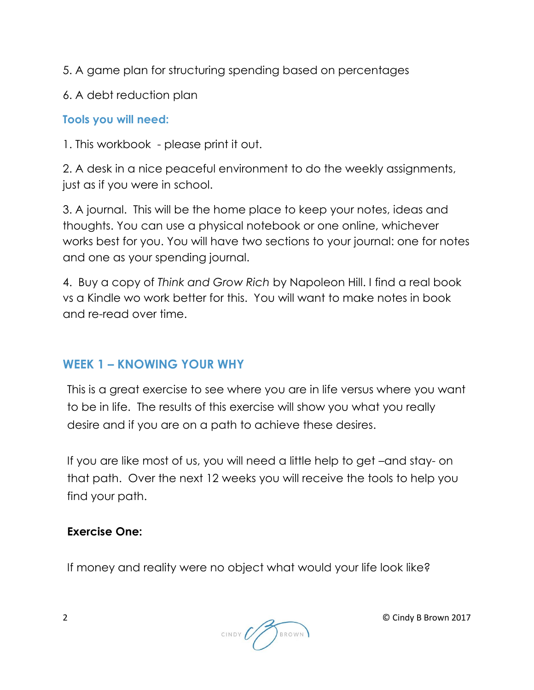5. A game plan for structuring spending based on percentages

6. A debt reduction plan

# **Tools you will need:**

1. This workbook - please print it out.

2. A desk in a nice peaceful environment to do the weekly assignments, just as if you were in school.

3. A journal. This will be the home place to keep your notes, ideas and thoughts. You can use a physical notebook or one online, whichever works best for you. You will have two sections to your journal: one for notes and one as your spending journal.

4. Buy a copy of *Think and Grow Rich* by Napoleon Hill. I find a real book vs a Kindle wo work better for this. You will want to make notes in book and re-read over time.

# **WEEK 1 – KNOWING YOUR WHY**

This is a great exercise to see where you are in life versus where you want to be in life. The results of this exercise will show you what you really desire and if you are on a path to achieve these desires.

If you are like most of us, you will need a little help to get –and stay- on that path. Over the next 12 weeks you will receive the tools to help you find your path.

# **Exercise One:**

If money and reality were no object what would your life look like?

CINDY (VV) BROWN

2 © Cindy B Brown 2017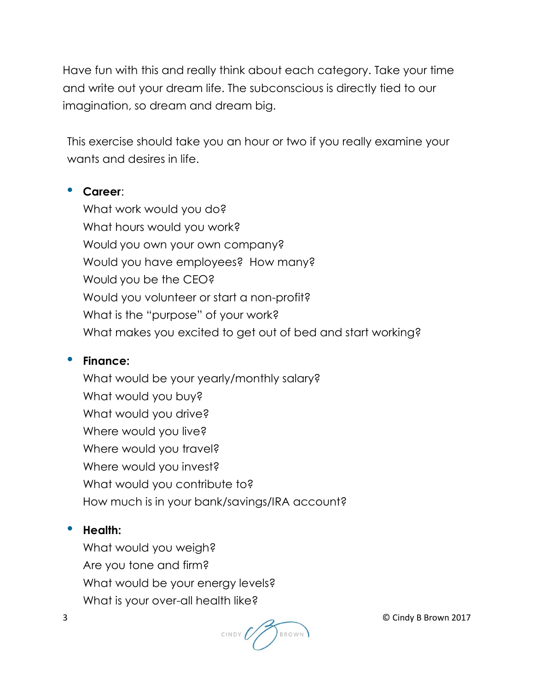Have fun with this and really think about each category. Take your time and write out your dream life. The subconscious is directly tied to our imagination, so dream and dream big.

This exercise should take you an hour or two if you really examine your wants and desires in life.

#### **Career**:

What work would you do? What hours would you work? Would you own your own company? Would you have employees? How many? Would you be the CEO? Would you volunteer or start a non-profit? What is the "purpose" of your work? What makes you excited to get out of bed and start working?

#### **Finance:**

What would be your yearly/monthly salary? What would you buy? What would you drive? Where would you live? Where would you travel? Where would you invest? What would you contribute to? How much is in your bank/savings/IRA account?

### **•** Health:

What would you weigh? Are you tone and firm? What would be your energy levels? What is your over-all health like?



3 © Cindy B Brown 2017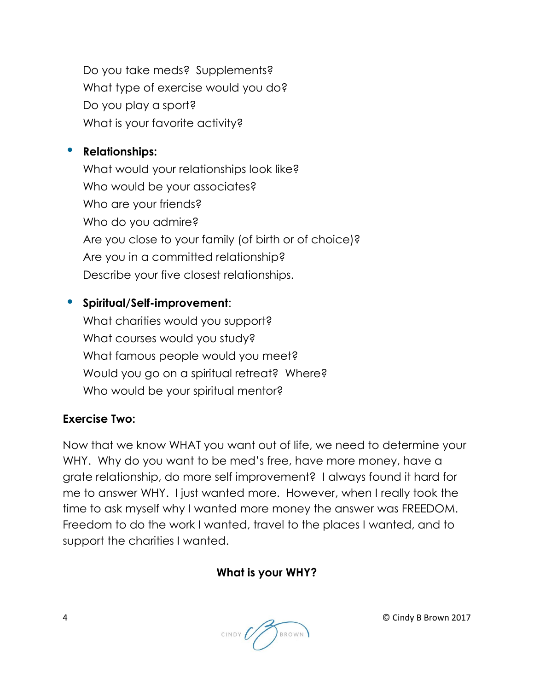Do you take meds? Supplements? What type of exercise would you do? Do you play a sport? What is your favorite activity?

#### **•** Relationships:

What would your relationships look like? Who would be your associates? Who are your friends? Who do you admire? Are you close to your family (of birth or of choice)? Are you in a committed relationship? Describe your five closest relationships.

# **Spiritual/Self-improvement**:

What charities would you support? What courses would you study? What famous people would you meet? Would you go on a spiritual retreat? Where? Who would be your spiritual mentor?

### **Exercise Two:**

Now that we know WHAT you want out of life, we need to determine your WHY. Why do you want to be med's free, have more money, have a grate relationship, do more self improvement? I always found it hard for me to answer WHY. I just wanted more. However, when I really took the time to ask myself why I wanted more money the answer was FREEDOM. Freedom to do the work I wanted, travel to the places I wanted, and to support the charities I wanted.

### **What is your WHY?**



4 © Cindy B Brown 2017